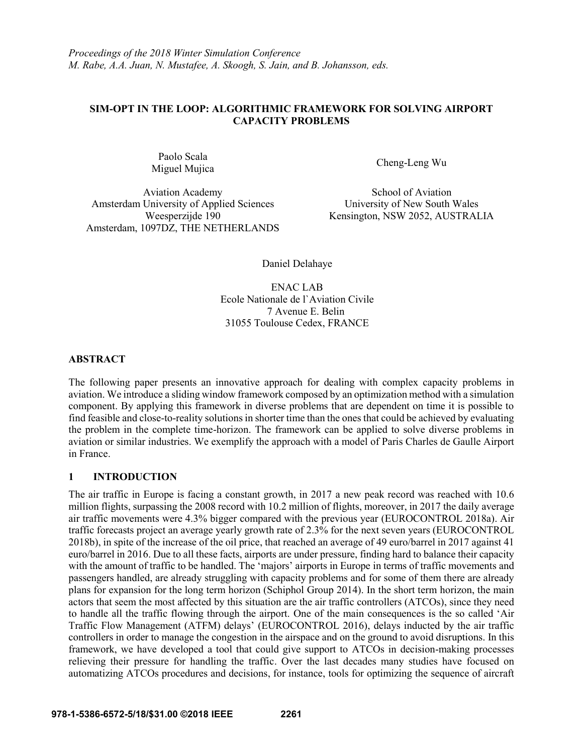*Proceedings of the 2018 Winter Simulation Conference M. Rabe, A.A. Juan, N. Mustafee, A. Skoogh, S. Jain, and B. Johansson, eds.*

## **SIM-OPT IN THE LOOP: ALGORITHMIC FRAMEWORK FOR SOLVING AIRPORT CAPACITY PROBLEMS**

Paolo Scala Miguel Mujica Cheng-Leng Wu

Aviation Academy School of Aviation Amsterdam University of Applied Sciences University of New South Wales Amsterdam, 1097DZ, THE NETHERLANDS

Weesperzijde 190 Kensington, NSW 2052, AUSTRALIA

Daniel Delahaye

ENAC LAB Ecole Nationale de l`Aviation Civile 7 Avenue E. Belin 31055 Toulouse Cedex, FRANCE

# **ABSTRACT**

The following paper presents an innovative approach for dealing with complex capacity problems in aviation. We introduce a sliding window framework composed by an optimization method with a simulation component. By applying this framework in diverse problems that are dependent on time it is possible to find feasible and close-to-reality solutions in shorter time than the ones that could be achieved by evaluating the problem in the complete time-horizon. The framework can be applied to solve diverse problems in aviation or similar industries. We exemplify the approach with a model of Paris Charles de Gaulle Airport in France.

# **1 INTRODUCTION**

The air traffic in Europe is facing a constant growth, in 2017 a new peak record was reached with 10.6 million flights, surpassing the 2008 record with 10.2 million of flights, moreover, in 2017 the daily average air traffic movements were 4.3% bigger compared with the previous year (EUROCONTROL 2018a). Air traffic forecasts project an average yearly growth rate of 2.3% for the next seven years (EUROCONTROL 2018b), in spite of the increase of the oil price, that reached an average of 49 euro/barrel in 2017 against 41 euro/barrel in 2016. Due to all these facts, airports are under pressure, finding hard to balance their capacity with the amount of traffic to be handled. The 'majors' airports in Europe in terms of traffic movements and passengers handled, are already struggling with capacity problems and for some of them there are already plans for expansion for the long term horizon (Schiphol Group 2014). In the short term horizon, the main actors that seem the most affected by this situation are the air traffic controllers (ATCOs), since they need to handle all the traffic flowing through the airport. One of the main consequences is the so called 'Air Traffic Flow Management (ATFM) delays' (EUROCONTROL 2016), delays inducted by the air traffic controllers in order to manage the congestion in the airspace and on the ground to avoid disruptions. In this framework, we have developed a tool that could give support to ATCOs in decision-making processes relieving their pressure for handling the traffic. Over the last decades many studies have focused on automatizing ATCOs procedures and decisions, for instance, tools for optimizing the sequence of aircraft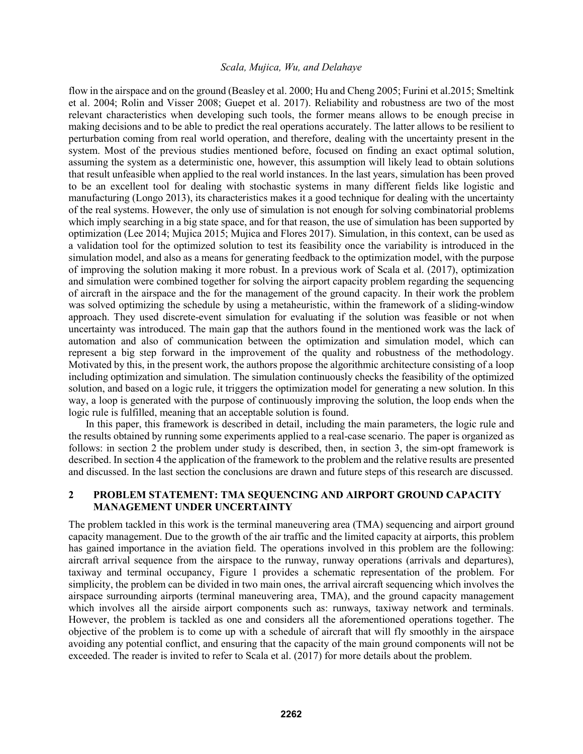flow in the airspace and on the ground (Beasley et al. 2000; Hu and Cheng 2005; Furini et al.2015; Smeltink et al. 2004; Rolin and Visser 2008; Guepet et al. 2017). Reliability and robustness are two of the most relevant characteristics when developing such tools, the former means allows to be enough precise in making decisions and to be able to predict the real operations accurately. The latter allows to be resilient to perturbation coming from real world operation, and therefore, dealing with the uncertainty present in the system. Most of the previous studies mentioned before, focused on finding an exact optimal solution, assuming the system as a deterministic one, however, this assumption will likely lead to obtain solutions that result unfeasible when applied to the real world instances. In the last years, simulation has been proved to be an excellent tool for dealing with stochastic systems in many different fields like logistic and manufacturing (Longo 2013), its characteristics makes it a good technique for dealing with the uncertainty of the real systems. However, the only use of simulation is not enough for solving combinatorial problems which imply searching in a big state space, and for that reason, the use of simulation has been supported by optimization (Lee 2014; Mujica 2015; Mujica and Flores 2017). Simulation, in this context, can be used as a validation tool for the optimized solution to test its feasibility once the variability is introduced in the simulation model, and also as a means for generating feedback to the optimization model, with the purpose of improving the solution making it more robust. In a previous work of Scala et al. (2017), optimization and simulation were combined together for solving the airport capacity problem regarding the sequencing of aircraft in the airspace and the for the management of the ground capacity. In their work the problem was solved optimizing the schedule by using a metaheuristic, within the framework of a sliding-window approach. They used discrete-event simulation for evaluating if the solution was feasible or not when uncertainty was introduced. The main gap that the authors found in the mentioned work was the lack of automation and also of communication between the optimization and simulation model, which can represent a big step forward in the improvement of the quality and robustness of the methodology. Motivated by this, in the present work, the authors propose the algorithmic architecture consisting of a loop including optimization and simulation. The simulation continuously checks the feasibility of the optimized solution, and based on a logic rule, it triggers the optimization model for generating a new solution. In this way, a loop is generated with the purpose of continuously improving the solution, the loop ends when the logic rule is fulfilled, meaning that an acceptable solution is found.

In this paper, this framework is described in detail, including the main parameters, the logic rule and the results obtained by running some experiments applied to a real-case scenario. The paper is organized as follows: in section 2 the problem under study is described, then, in section 3, the sim-opt framework is described. In section 4 the application of the framework to the problem and the relative results are presented and discussed. In the last section the conclusions are drawn and future steps of this research are discussed.

# **2 PROBLEM STATEMENT: TMA SEQUENCING AND AIRPORT GROUND CAPACITY MANAGEMENT UNDER UNCERTAINTY**

The problem tackled in this work is the terminal maneuvering area (TMA) sequencing and airport ground capacity management. Due to the growth of the air traffic and the limited capacity at airports, this problem has gained importance in the aviation field. The operations involved in this problem are the following: aircraft arrival sequence from the airspace to the runway, runway operations (arrivals and departures), taxiway and terminal occupancy, Figure 1 provides a schematic representation of the problem. For simplicity, the problem can be divided in two main ones, the arrival aircraft sequencing which involves the airspace surrounding airports (terminal maneuvering area, TMA), and the ground capacity management which involves all the airside airport components such as: runways, taxiway network and terminals. However, the problem is tackled as one and considers all the aforementioned operations together. The objective of the problem is to come up with a schedule of aircraft that will fly smoothly in the airspace avoiding any potential conflict, and ensuring that the capacity of the main ground components will not be exceeded. The reader is invited to refer to Scala et al. (2017) for more details about the problem.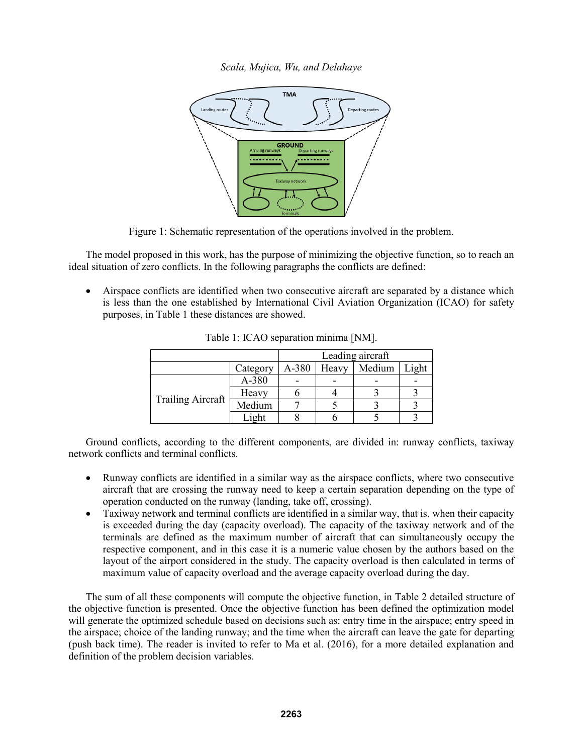

Figure 1: Schematic representation of the operations involved in the problem.

The model proposed in this work, has the purpose of minimizing the objective function, so to reach an ideal situation of zero conflicts. In the following paragraphs the conflicts are defined:

 Airspace conflicts are identified when two consecutive aircraft are separated by a distance which is less than the one established by International Civil Aviation Organization (ICAO) for safety purposes, in Table 1 these distances are showed.

|                          |          | Leading aircraft |       |        |      |
|--------------------------|----------|------------------|-------|--------|------|
|                          | Category | A-380            | Heavy | Medium | ight |
| <b>Trailing Aircraft</b> | A-380    |                  |       |        |      |
|                          | Heavy    |                  |       |        |      |
|                          | Medium   |                  |       |        |      |
|                          |          |                  |       |        |      |

Table 1: ICAO separation minima [NM].

Ground conflicts, according to the different components, are divided in: runway conflicts, taxiway network conflicts and terminal conflicts.

- Runway conflicts are identified in a similar way as the airspace conflicts, where two consecutive aircraft that are crossing the runway need to keep a certain separation depending on the type of operation conducted on the runway (landing, take off, crossing).
- Taxiway network and terminal conflicts are identified in a similar way, that is, when their capacity is exceeded during the day (capacity overload). The capacity of the taxiway network and of the terminals are defined as the maximum number of aircraft that can simultaneously occupy the respective component, and in this case it is a numeric value chosen by the authors based on the layout of the airport considered in the study. The capacity overload is then calculated in terms of maximum value of capacity overload and the average capacity overload during the day.

The sum of all these components will compute the objective function, in Table 2 detailed structure of the objective function is presented. Once the objective function has been defined the optimization model will generate the optimized schedule based on decisions such as: entry time in the airspace; entry speed in the airspace; choice of the landing runway; and the time when the aircraft can leave the gate for departing (push back time). The reader is invited to refer to Ma et al. (2016), for a more detailed explanation and definition of the problem decision variables.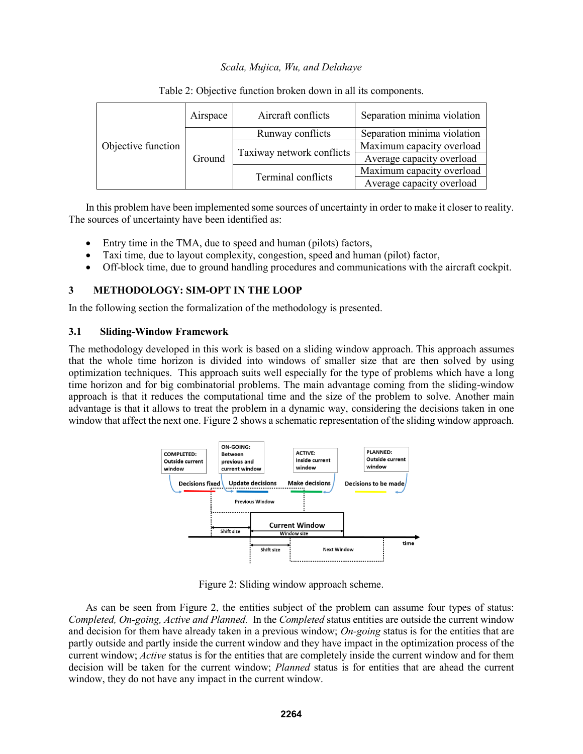| Objective function | Airspace | Aircraft conflicts        | Separation minima violation |  |
|--------------------|----------|---------------------------|-----------------------------|--|
|                    | Ground   | Runway conflicts          | Separation minima violation |  |
|                    |          |                           | Maximum capacity overload   |  |
|                    |          | Taxiway network conflicts | Average capacity overload   |  |
|                    |          | Terminal conflicts        | Maximum capacity overload   |  |
|                    |          |                           | Average capacity overload   |  |

Table 2: Objective function broken down in all its components.

In this problem have been implemented some sources of uncertainty in order to make it closer to reality. The sources of uncertainty have been identified as:

- Entry time in the TMA, due to speed and human (pilots) factors,
- Taxi time, due to layout complexity, congestion, speed and human (pilot) factor,
- Off-block time, due to ground handling procedures and communications with the aircraft cockpit.

# **3 METHODOLOGY: SIM-OPT IN THE LOOP**

In the following section the formalization of the methodology is presented.

### **3.1 Sliding-Window Framework**

The methodology developed in this work is based on a sliding window approach. This approach assumes that the whole time horizon is divided into windows of smaller size that are then solved by using optimization techniques. This approach suits well especially for the type of problems which have a long time horizon and for big combinatorial problems. The main advantage coming from the sliding-window approach is that it reduces the computational time and the size of the problem to solve. Another main advantage is that it allows to treat the problem in a dynamic way, considering the decisions taken in one window that affect the next one. Figure 2 shows a schematic representation of the sliding window approach.



Figure 2: Sliding window approach scheme.

As can be seen from Figure 2, the entities subject of the problem can assume four types of status: *Completed, On-going, Active and Planned.* In the *Completed* status entities are outside the current window and decision for them have already taken in a previous window; *On-going* status is for the entities that are partly outside and partly inside the current window and they have impact in the optimization process of the current window; *Active* status is for the entities that are completely inside the current window and for them decision will be taken for the current window; *Planned* status is for entities that are ahead the current window, they do not have any impact in the current window.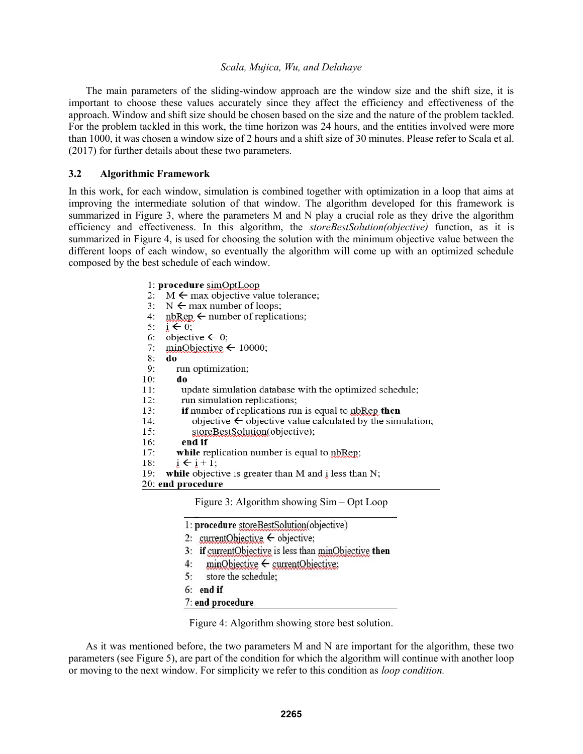The main parameters of the sliding-window approach are the window size and the shift size, it is important to choose these values accurately since they affect the efficiency and effectiveness of the approach. Window and shift size should be chosen based on the size and the nature of the problem tackled. For the problem tackled in this work, the time horizon was 24 hours, and the entities involved were more than 1000, it was chosen a window size of 2 hours and a shift size of 30 minutes. Please refer to Scala et al. (2017) for further details about these two parameters.

#### **3.2 Algorithmic Framework**

In this work, for each window, simulation is combined together with optimization in a loop that aims at improving the intermediate solution of that window. The algorithm developed for this framework is summarized in Figure 3, where the parameters M and N play a crucial role as they drive the algorithm efficiency and effectiveness. In this algorithm, the *storeBestSolution(objective)* function, as it is summarized in Figure 4, is used for choosing the solution with the minimum objective value between the different loops of each window, so eventually the algorithm will come up with an optimized schedule composed by the best schedule of each window.

> 1: procedure simOptLoop 2:  $M \leftarrow$  max objective value tolerance; 3:  $N \leftarrow$  max number of loops;  $4:$  $nbRep \leftarrow number of replications$ :  $5:$  $i \leftarrow 0$ : objective  $\leftarrow$  0: 6:  $minObjective \leftarrow 10000;$ 7: 8: do 9: run optimization;  $10:$ do update simulation database with the optimized schedule;  $11:$ run simulation replications:  $12:$  $13:$ if number of replications run is equal to nbRep then  $14:$ objective  $\leftarrow$  objective value calculated by the simulation; storeBestSolution(objective);  $15:$  $16:$ end if while replication number is equal to nbRep;  $17:$  $18:$  $i \leftarrow i + 1$ : 19: while objective is greater than M and i less than N; 20: end procedure

Figure 3: Algorithm showing Sim – Opt Loop

1: procedure storeBestSolution(objective)

- 2: currentObjective  $\leftarrow$  objective;
- 3: if currentObjective is less than minObjective then
- $minObjective \leftarrow currentObjective$  $4:$
- $5:$ store the schedule;
- $6:$  end if
- 7: end procedure

Figure 4: Algorithm showing store best solution.

As it was mentioned before, the two parameters M and N are important for the algorithm, these two parameters (see Figure 5), are part of the condition for which the algorithm will continue with another loop or moving to the next window. For simplicity we refer to this condition as *loop condition.*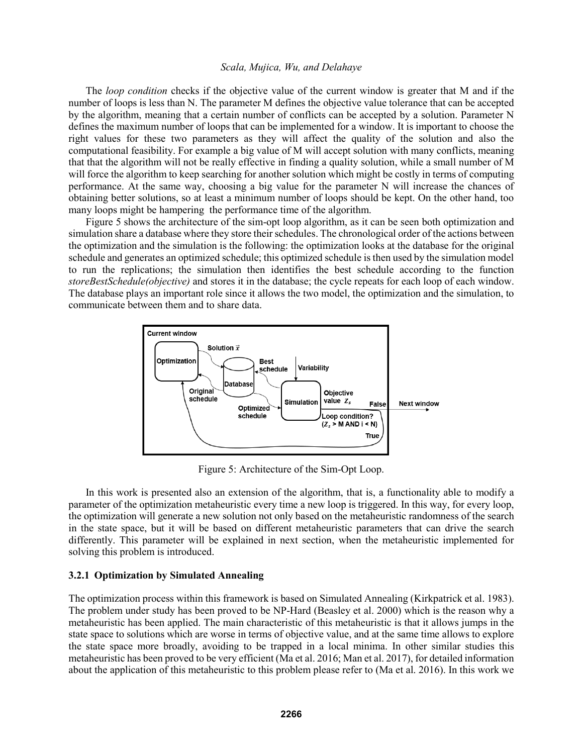The *loop condition* checks if the objective value of the current window is greater that M and if the number of loops is less than N. The parameter M defines the objective value tolerance that can be accepted by the algorithm, meaning that a certain number of conflicts can be accepted by a solution. Parameter N defines the maximum number of loops that can be implemented for a window. It is important to choose the right values for these two parameters as they will affect the quality of the solution and also the computational feasibility. For example a big value of M will accept solution with many conflicts, meaning that that the algorithm will not be really effective in finding a quality solution, while a small number of M will force the algorithm to keep searching for another solution which might be costly in terms of computing performance. At the same way, choosing a big value for the parameter N will increase the chances of obtaining better solutions, so at least a minimum number of loops should be kept. On the other hand, too many loops might be hampering the performance time of the algorithm.

Figure 5 shows the architecture of the sim-opt loop algorithm, as it can be seen both optimization and simulation share a database where they store their schedules. The chronological order of the actions between the optimization and the simulation is the following: the optimization looks at the database for the original schedule and generates an optimized schedule; this optimized schedule is then used by the simulation model to run the replications; the simulation then identifies the best schedule according to the function *storeBestSchedule(objective)* and stores it in the database; the cycle repeats for each loop of each window. The database plays an important role since it allows the two model, the optimization and the simulation, to communicate between them and to share data.



Figure 5: Architecture of the Sim-Opt Loop.

In this work is presented also an extension of the algorithm, that is, a functionality able to modify a parameter of the optimization metaheuristic every time a new loop is triggered. In this way, for every loop, the optimization will generate a new solution not only based on the metaheuristic randomness of the search in the state space, but it will be based on different metaheuristic parameters that can drive the search differently. This parameter will be explained in next section, when the metaheuristic implemented for solving this problem is introduced.

### **3.2.1 Optimization by Simulated Annealing**

The optimization process within this framework is based on Simulated Annealing (Kirkpatrick et al. 1983). The problem under study has been proved to be NP-Hard (Beasley et al. 2000) which is the reason why a metaheuristic has been applied. The main characteristic of this metaheuristic is that it allows jumps in the state space to solutions which are worse in terms of objective value, and at the same time allows to explore the state space more broadly, avoiding to be trapped in a local minima. In other similar studies this metaheuristic has been proved to be very efficient (Ma et al. 2016; Man et al. 2017), for detailed information about the application of this metaheuristic to this problem please refer to (Ma et al. 2016). In this work we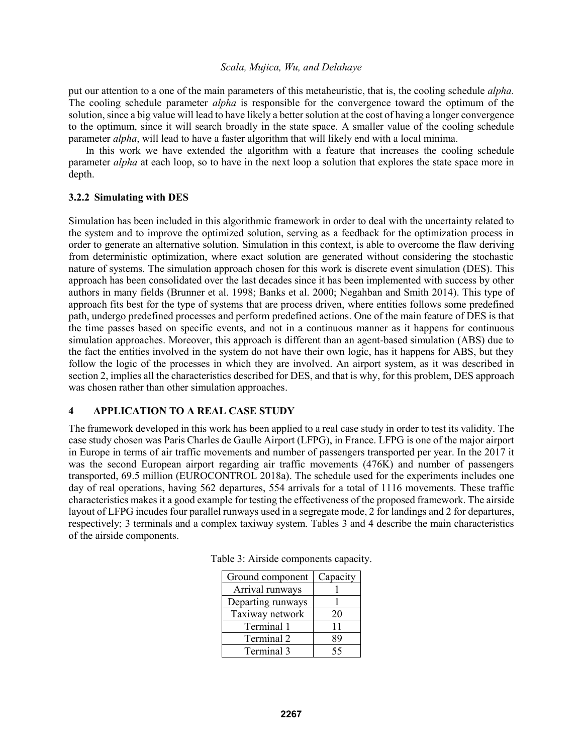put our attention to a one of the main parameters of this metaheuristic, that is, the cooling schedule *alpha.* The cooling schedule parameter *alpha* is responsible for the convergence toward the optimum of the solution, since a big value will lead to have likely a better solution at the cost of having a longer convergence to the optimum, since it will search broadly in the state space. A smaller value of the cooling schedule parameter *alpha*, will lead to have a faster algorithm that will likely end with a local minima.

In this work we have extended the algorithm with a feature that increases the cooling schedule parameter *alpha* at each loop, so to have in the next loop a solution that explores the state space more in depth.

### **3.2.2 Simulating with DES**

Simulation has been included in this algorithmic framework in order to deal with the uncertainty related to the system and to improve the optimized solution, serving as a feedback for the optimization process in order to generate an alternative solution. Simulation in this context, is able to overcome the flaw deriving from deterministic optimization, where exact solution are generated without considering the stochastic nature of systems. The simulation approach chosen for this work is discrete event simulation (DES). This approach has been consolidated over the last decades since it has been implemented with success by other authors in many fields (Brunner et al. 1998; Banks et al. 2000; Negahban and Smith 2014). This type of approach fits best for the type of systems that are process driven, where entities follows some predefined path, undergo predefined processes and perform predefined actions. One of the main feature of DES is that the time passes based on specific events, and not in a continuous manner as it happens for continuous simulation approaches. Moreover, this approach is different than an agent-based simulation (ABS) due to the fact the entities involved in the system do not have their own logic, has it happens for ABS, but they follow the logic of the processes in which they are involved. An airport system, as it was described in section 2, implies all the characteristics described for DES, and that is why, for this problem, DES approach was chosen rather than other simulation approaches.

# **4 APPLICATION TO A REAL CASE STUDY**

The framework developed in this work has been applied to a real case study in order to test its validity. The case study chosen was Paris Charles de Gaulle Airport (LFPG), in France. LFPG is one of the major airport in Europe in terms of air traffic movements and number of passengers transported per year. In the 2017 it was the second European airport regarding air traffic movements (476K) and number of passengers transported, 69.5 million (EUROCONTROL 2018a). The schedule used for the experiments includes one day of real operations, having 562 departures, 554 arrivals for a total of 1116 movements. These traffic characteristics makes it a good example for testing the effectiveness of the proposed framework. The airside layout of LFPG incudes four parallel runways used in a segregate mode, 2 for landings and 2 for departures, respectively; 3 terminals and a complex taxiway system. Tables 3 and 4 describe the main characteristics of the airside components.

| Ground component  | Capacity |  |
|-------------------|----------|--|
| Arrival runways   |          |  |
| Departing runways |          |  |
| Taxiway network   | 20       |  |
| Terminal 1        | 11       |  |
| Terminal 2        | 89       |  |
| Terminal 3        | 55       |  |

Table 3: Airside components capacity.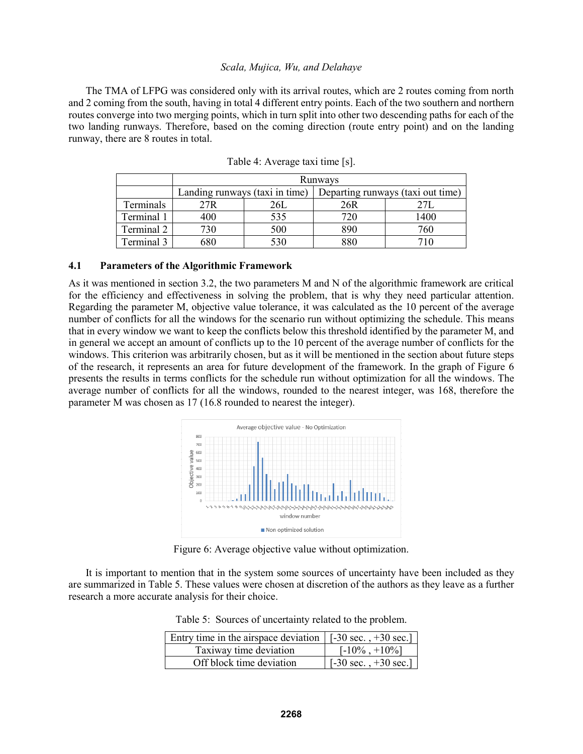The TMA of LFPG was considered only with its arrival routes, which are 2 routes coming from north and 2 coming from the south, having in total 4 different entry points. Each of the two southern and northern routes converge into two merging points, which in turn split into other two descending paths for each of the two landing runways. Therefore, based on the coming direction (route entry point) and on the landing runway, there are 8 routes in total.

|            | Runways                        |     |                                   |      |
|------------|--------------------------------|-----|-----------------------------------|------|
|            | Landing runways (taxi in time) |     | Departing runways (taxi out time) |      |
| Terminals  | 27R                            |     | 26R                               |      |
| Terminal 1 | 400                            | 535 | 720                               | !400 |
| Terminal 2 | 730                            | 500 | 890                               | 760  |
| Terminal 3 | 580                            |     | 880                               |      |

Table 4: Average taxi time [s].

#### **4.1 Parameters of the Algorithmic Framework**

As it was mentioned in section 3.2, the two parameters M and N of the algorithmic framework are critical for the efficiency and effectiveness in solving the problem, that is why they need particular attention. Regarding the parameter M, objective value tolerance, it was calculated as the 10 percent of the average number of conflicts for all the windows for the scenario run without optimizing the schedule. This means that in every window we want to keep the conflicts below this threshold identified by the parameter M, and in general we accept an amount of conflicts up to the 10 percent of the average number of conflicts for the windows. This criterion was arbitrarily chosen, but as it will be mentioned in the section about future steps of the research, it represents an area for future development of the framework. In the graph of Figure 6 presents the results in terms conflicts for the schedule run without optimization for all the windows. The average number of conflicts for all the windows, rounded to the nearest integer, was 168, therefore the parameter M was chosen as 17 (16.8 rounded to nearest the integer).



Figure 6: Average objective value without optimization.

It is important to mention that in the system some sources of uncertainty have been included as they are summarized in Table 5. These values were chosen at discretion of the authors as they leave as a further research a more accurate analysis for their choice.

Table 5: Sources of uncertainty related to the problem.

| Entry time in the airspace deviation $\vert$ [-30 sec., +30 sec.] |                                            |  |  |
|-------------------------------------------------------------------|--------------------------------------------|--|--|
| Taxiway time deviation                                            | $[-10\% , +10\%]$                          |  |  |
| Off block time deviation                                          | $\lceil -30 \sec. +30 \sec. \rceil \rceil$ |  |  |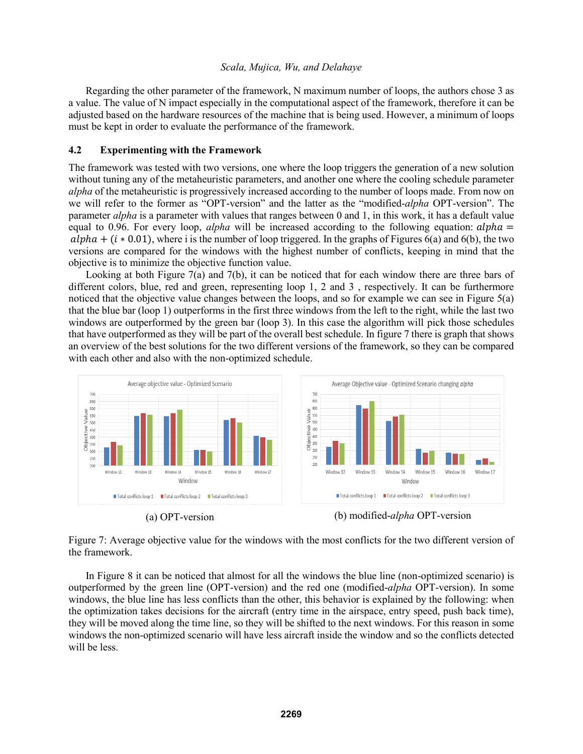Regarding the other parameter of the framework, N maximum number of loops, the authors chose 3 as a value. The value of N impact especially in the computational aspect of the framework, therefore it can be adjusted based on the hardware resources of the machine that is being used. However, a minimum of loops must be kept in order to evaluate the performance of the framework.

### **4.2 Experimenting with the Framework**

The framework was tested with two versions, one where the loop triggers the generation of a new solution without tuning any of the metaheuristic parameters, and another one where the cooling schedule parameter *alpha* of the metaheuristic is progressively increased according to the number of loops made. From now on we will refer to the former as "OPT-version" and the latter as the "modified-*alpha* OPT-version". The parameter *alpha* is a parameter with values that ranges between 0 and 1, in this work, it has a default value equal to 0.96. For every loop,  $alpha$  will be increased according to the following equation:  $alpha =$  $alpha + (i * 0.01)$ , where i is the number of loop triggered. In the graphs of Figures 6(a) and 6(b), the two versions are compared for the windows with the highest number of conflicts, keeping in mind that the objective is to minimize the objective function value.

Looking at both Figure 7(a) and 7(b), it can be noticed that for each window there are three bars of different colors, blue, red and green, representing loop 1, 2 and 3 , respectively. It can be furthermore noticed that the objective value changes between the loops, and so for example we can see in Figure 5(a) that the blue bar (loop 1) outperforms in the first three windows from the left to the right, while the last two windows are outperformed by the green bar (loop 3). In this case the algorithm will pick those schedules that have outperformed as they will be part of the overall best schedule. In figure 7 there is graph that shows an overview of the best solutions for the two different versions of the framework, so they can be compared with each other and also with the non-optimized schedule.



Figure 7: Average objective value for the windows with the most conflicts for the two different version of the framework.

In Figure 8 it can be noticed that almost for all the windows the blue line (non-optimized scenario) is outperformed by the green line (OPT-version) and the red one (modified-*alpha* OPT-version). In some windows, the blue line has less conflicts than the other, this behavior is explained by the following: when the optimization takes decisions for the aircraft (entry time in the airspace, entry speed, push back time), they will be moved along the time line, so they will be shifted to the next windows. For this reason in some windows the non-optimized scenario will have less aircraft inside the window and so the conflicts detected will be less.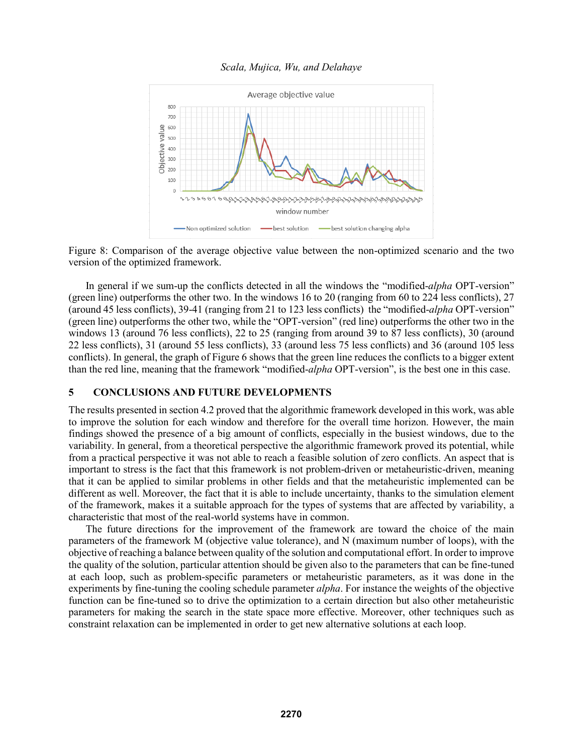

Figure 8: Comparison of the average objective value between the non-optimized scenario and the two version of the optimized framework.

In general if we sum-up the conflicts detected in all the windows the "modified-*alpha* OPT-version" (green line) outperforms the other two. In the windows 16 to 20 (ranging from 60 to 224 less conflicts), 27 (around 45 less conflicts), 39-41 (ranging from 21 to 123 less conflicts) the "modified-*alpha* OPT-version" (green line) outperforms the other two, while the "OPT-version" (red line) outperforms the other two in the windows 13 (around 76 less conflicts), 22 to 25 (ranging from around 39 to 87 less conflicts), 30 (around 22 less conflicts), 31 (around 55 less conflicts), 33 (around less 75 less conflicts) and 36 (around 105 less conflicts). In general, the graph of Figure 6 shows that the green line reduces the conflicts to a bigger extent than the red line, meaning that the framework "modified-*alpha* OPT-version", is the best one in this case.

# **5 CONCLUSIONS AND FUTURE DEVELOPMENTS**

The results presented in section 4.2 proved that the algorithmic framework developed in this work, was able to improve the solution for each window and therefore for the overall time horizon. However, the main findings showed the presence of a big amount of conflicts, especially in the busiest windows, due to the variability. In general, from a theoretical perspective the algorithmic framework proved its potential, while from a practical perspective it was not able to reach a feasible solution of zero conflicts. An aspect that is important to stress is the fact that this framework is not problem-driven or metaheuristic-driven, meaning that it can be applied to similar problems in other fields and that the metaheuristic implemented can be different as well. Moreover, the fact that it is able to include uncertainty, thanks to the simulation element of the framework, makes it a suitable approach for the types of systems that are affected by variability, a characteristic that most of the real-world systems have in common.

The future directions for the improvement of the framework are toward the choice of the main parameters of the framework M (objective value tolerance), and N (maximum number of loops), with the objective of reaching a balance between quality of the solution and computational effort. In order to improve the quality of the solution, particular attention should be given also to the parameters that can be fine-tuned at each loop, such as problem-specific parameters or metaheuristic parameters, as it was done in the experiments by fine-tuning the cooling schedule parameter *alpha*. For instance the weights of the objective function can be fine-tuned so to drive the optimization to a certain direction but also other metaheuristic parameters for making the search in the state space more effective. Moreover, other techniques such as constraint relaxation can be implemented in order to get new alternative solutions at each loop.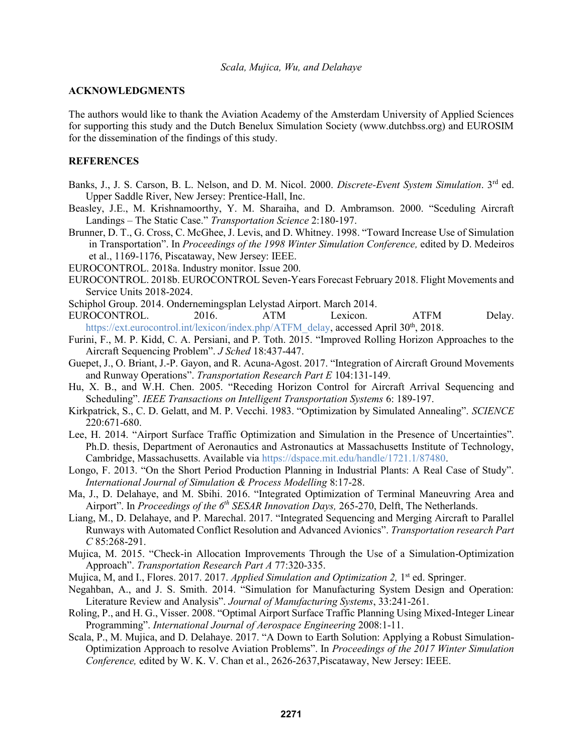#### **ACKNOWLEDGMENTS**

The authors would like to thank the Aviation Academy of the Amsterdam University of Applied Sciences for supporting this study and the Dutch Benelux Simulation Society (www.dutchbss.org) and EUROSIM for the dissemination of the findings of this study.

### **REFERENCES**

- Banks, J., J. S. Carson, B. L. Nelson, and D. M. Nicol. 2000. *Discrete-Event System Simulation*. 3rd ed. Upper Saddle River, New Jersey: Prentice-Hall, Inc.
- Beasley, J.E., M. Krishnamoorthy, Y. M. Sharaiha, and D. Ambramson. 2000. "Sceduling Aircraft Landings – The Static Case." *Transportation Science* 2:180-197.
- Brunner, D. T., G. Cross, C. McGhee, J. Levis, and D. Whitney. 1998. "Toward Increase Use of Simulation in Transportation". In *Proceedings of the 1998 Winter Simulation Conference,* edited by D. Medeiros et al., 1169-1176, Piscataway, New Jersey: IEEE.
- EUROCONTROL. 2018a. Industry monitor. Issue 200.
- EUROCONTROL. 2018b. EUROCONTROL Seven-Years Forecast February 2018. Flight Movements and Service Units 2018-2024.
- Schiphol Group. 2014. Ondernemingsplan Lelystad Airport. March 2014.
- EUROCONTROL. 2016. ATM Lexicon. ATFM Delay. https://ext.eurocontrol.int/lexicon/index.php/ATFM\_delay, accessed April 30<sup>th</sup>, 2018.
- Furini, F., M. P. Kidd, C. A. Persiani, and P. Toth. 2015. "Improved Rolling Horizon Approaches to the Aircraft Sequencing Problem". *J Sched* 18:437-447.
- Guepet, J., O. Briant, J.-P. Gayon, and R. Acuna-Agost. 2017. "Integration of Aircraft Ground Movements and Runway Operations". *Transportation Research Part E* 104:131-149.
- Hu, X. B., and W.H. Chen. 2005. "Receding Horizon Control for Aircraft Arrival Sequencing and Scheduling". *IEEE Transactions on Intelligent Transportation Systems* 6: 189-197.
- Kirkpatrick, S., C. D. Gelatt, and M. P. Vecchi. 1983. "Optimization by Simulated Annealing". *SCIENCE* 220:671-680.
- Lee, H. 2014. "Airport Surface Traffic Optimization and Simulation in the Presence of Uncertainties". Ph.D. thesis, Department of Aeronautics and Astronautics at Massachusetts Institute of Technology, Cambridge, Massachusetts. Available via https://dspace.mit.edu/handle/1721.1/87480.
- Longo, F. 2013. "On the Short Period Production Planning in Industrial Plants: A Real Case of Study". *International Journal of Simulation & Process Modelling* 8:17-28.
- Ma, J., D. Delahaye, and M. Sbihi. 2016. "Integrated Optimization of Terminal Maneuvring Area and Airport". In *Proceedings of the 6th SESAR Innovation Days,* 265-270, Delft, The Netherlands.
- Liang, M., D. Delahaye, and P. Marechal. 2017. "Integrated Sequencing and Merging Aircraft to Parallel Runways with Automated Conflict Resolution and Advanced Avionics". *Transportation research Part C* 85:268-291.
- Mujica, M. 2015. "Check-in Allocation Improvements Through the Use of a Simulation-Optimization Approach". *Transportation Research Part A* 77:320-335.
- Mujica, M, and I., Flores. 2017. 2017. *Applied Simulation and Optimization 2*, 1<sup>st</sup> ed. Springer.
- Negahban, A., and J. S. Smith. 2014. "Simulation for Manufacturing System Design and Operation: Literature Review and Analysis". *Journal of Manufacturing Systems*, 33:241-261.
- Roling, P., and H. G., Visser. 2008. "Optimal Airport Surface Traffic Planning Using Mixed-Integer Linear Programming". *International Journal of Aerospace Engineering* 2008:1-11.
- Scala, P., M. Mujica, and D. Delahaye. 2017. "A Down to Earth Solution: Applying a Robust Simulation-Optimization Approach to resolve Aviation Problems". In *Proceedings of the 2017 Winter Simulation Conference,* edited by W. K. V. Chan et al., 2626-2637,Piscataway, New Jersey: IEEE.